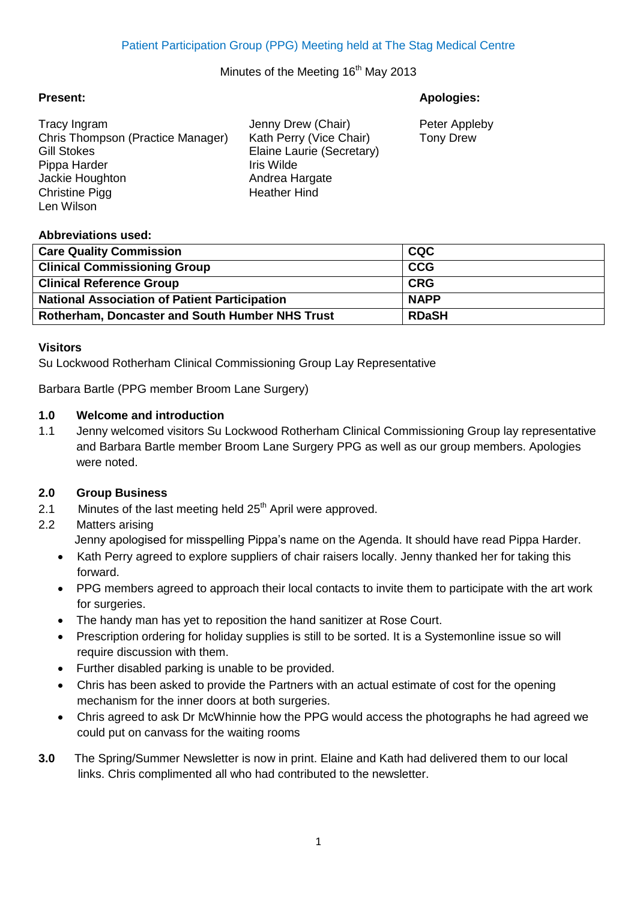# Minutes of the Meeting 16<sup>th</sup> May 2013

#### **Present: Apologies:**

| Tracy Ingram                      | Jenny Drew (Chair)        | Peter Appleby    |
|-----------------------------------|---------------------------|------------------|
| Chris Thompson (Practice Manager) | Kath Perry (Vice Chair)   | <b>Tony Drew</b> |
| <b>Gill Stokes</b>                | Elaine Laurie (Secretary) |                  |
| Pippa Harder                      | Iris Wilde                |                  |
| Jackie Houghton                   | Andrea Hargate            |                  |
| <b>Christine Pigg</b>             | <b>Heather Hind</b>       |                  |
| I en Wilson                       |                           |                  |

### **Abbreviations used:**

| <b>Care Quality Commission</b>                         | <b>CQC</b>   |
|--------------------------------------------------------|--------------|
| <b>Clinical Commissioning Group</b>                    | <b>CCG</b>   |
| <b>Clinical Reference Group</b>                        | <b>CRG</b>   |
| <b>National Association of Patient Participation</b>   | <b>NAPP</b>  |
| <b>Rotherham, Doncaster and South Humber NHS Trust</b> | <b>RDaSH</b> |

### **Visitors**

Su Lockwood Rotherham Clinical Commissioning Group Lay Representative

Barbara Bartle (PPG member Broom Lane Surgery)

### **1.0 Welcome and introduction**

1.1 Jenny welcomed visitors Su Lockwood Rotherham Clinical Commissioning Group lay representative and Barbara Bartle member Broom Lane Surgery PPG as well as our group members. Apologies were noted.

### **2.0 Group Business**

2.1 Minutes of the last meeting held  $25<sup>th</sup>$  April were approved.

### 2.2 Matters arising

- Jenny apologised for misspelling Pippa's name on the Agenda. It should have read Pippa Harder.
- Kath Perry agreed to explore suppliers of chair raisers locally. Jenny thanked her for taking this forward.
- PPG members agreed to approach their local contacts to invite them to participate with the art work for surgeries.
- The handy man has yet to reposition the hand sanitizer at Rose Court.
- Prescription ordering for holiday supplies is still to be sorted. It is a Systemonline issue so will require discussion with them.
- Further disabled parking is unable to be provided.
- Chris has been asked to provide the Partners with an actual estimate of cost for the opening mechanism for the inner doors at both surgeries.
- Chris agreed to ask Dr McWhinnie how the PPG would access the photographs he had agreed we could put on canvass for the waiting rooms
- **3.0** The Spring/Summer Newsletter is now in print. Elaine and Kath had delivered them to our local links. Chris complimented all who had contributed to the newsletter.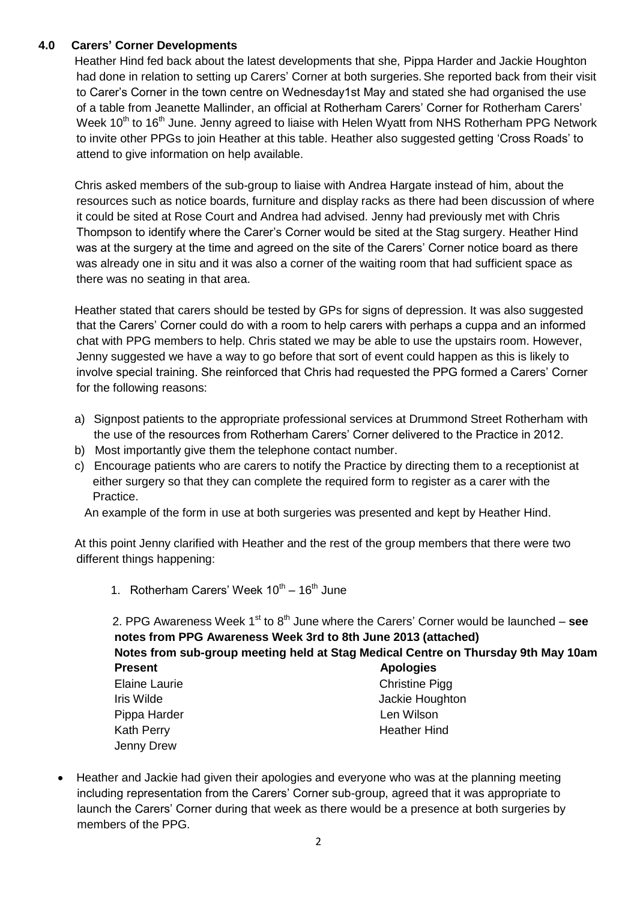# **4.0 Carers' Corner Developments**

 Heather Hind fed back about the latest developments that she, Pippa Harder and Jackie Houghton had done in relation to setting up Carers' Corner at both surgeries. She reported back from their visit to Carer's Corner in the town centre on Wednesday1st May and stated she had organised the use of a table from Jeanette Mallinder, an official at Rotherham Carers' Corner for Rotherham Carers' Week 10<sup>th</sup> to 16<sup>th</sup> June. Jenny agreed to liaise with Helen Wyatt from NHS Rotherham PPG Network to invite other PPGs to join Heather at this table. Heather also suggested getting 'Cross Roads' to attend to give information on help available.

 Chris asked members of the sub-group to liaise with Andrea Hargate instead of him, about the resources such as notice boards, furniture and display racks as there had been discussion of where it could be sited at Rose Court and Andrea had advised. Jenny had previously met with Chris Thompson to identify where the Carer's Corner would be sited at the Stag surgery. Heather Hind was at the surgery at the time and agreed on the site of the Carers' Corner notice board as there was already one in situ and it was also a corner of the waiting room that had sufficient space as there was no seating in that area.

 Heather stated that carers should be tested by GPs for signs of depression. It was also suggested that the Carers' Corner could do with a room to help carers with perhaps a cuppa and an informed chat with PPG members to help. Chris stated we may be able to use the upstairs room. However, Jenny suggested we have a way to go before that sort of event could happen as this is likely to involve special training. She reinforced that Chris had requested the PPG formed a Carers' Corner for the following reasons:

- a) Signpost patients to the appropriate professional services at Drummond Street Rotherham with the use of the resources from Rotherham Carers' Corner delivered to the Practice in 2012.
- b) Most importantly give them the telephone contact number.
- c) Encourage patients who are carers to notify the Practice by directing them to a receptionist at either surgery so that they can complete the required form to register as a carer with the Practice.

An example of the form in use at both surgeries was presented and kept by Heather Hind.

 At this point Jenny clarified with Heather and the rest of the group members that there were two different things happening:

1. Rotherham Carers' Week  $10^{th} - 16^{th}$  June

2. PPG Awareness Week 1<sup>st</sup> to 8<sup>th</sup> June where the Carers' Corner would be launched – see **notes from PPG Awareness Week 3rd to 8th June 2013 (attached) Notes from sub-group meeting held at Stag Medical Centre on Thursday 9th May 10am Present Apologies** Elaine Laurie **Christiane** Christine Pigg Iris Wilde **Jackie Houghton** Pippa Harder **Len Wilson** Kath Perry **Heather Hind** Jenny Drew

 Heather and Jackie had given their apologies and everyone who was at the planning meeting including representation from the Carers' Corner sub-group, agreed that it was appropriate to launch the Carers' Corner during that week as there would be a presence at both surgeries by members of the PPG.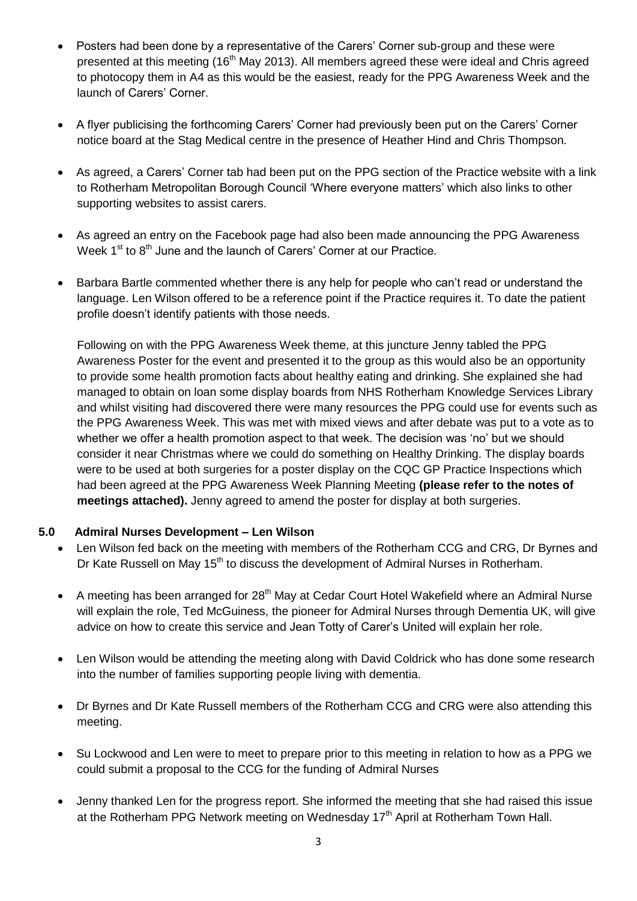- Posters had been done by a representative of the Carers' Corner sub-group and these were presented at this meeting (16<sup>th</sup> May 2013). All members agreed these were ideal and Chris agreed to photocopy them in A4 as this would be the easiest, ready for the PPG Awareness Week and the launch of Carers' Corner.
- A flyer publicising the forthcoming Carers' Corner had previously been put on the Carers' Corner notice board at the Stag Medical centre in the presence of Heather Hind and Chris Thompson.
- As agreed, a Carers' Corner tab had been put on the PPG section of the Practice website with a link to Rotherham Metropolitan Borough Council 'Where everyone matters' which also links to other supporting websites to assist carers.
- As agreed an entry on the Facebook page had also been made announcing the PPG Awareness Week  $1<sup>st</sup>$  to  $8<sup>th</sup>$  June and the launch of Carers' Corner at our Practice.
- Barbara Bartle commented whether there is any help for people who can't read or understand the language. Len Wilson offered to be a reference point if the Practice requires it. To date the patient profile doesn't identify patients with those needs.

Following on with the PPG Awareness Week theme, at this juncture Jenny tabled the PPG Awareness Poster for the event and presented it to the group as this would also be an opportunity to provide some health promotion facts about healthy eating and drinking. She explained she had managed to obtain on loan some display boards from NHS Rotherham Knowledge Services Library and whilst visiting had discovered there were many resources the PPG could use for events such as the PPG Awareness Week. This was met with mixed views and after debate was put to a vote as to whether we offer a health promotion aspect to that week. The decision was 'no' but we should consider it near Christmas where we could do something on Healthy Drinking. The display boards were to be used at both surgeries for a poster display on the CQC GP Practice Inspections which had been agreed at the PPG Awareness Week Planning Meeting **(please refer to the notes of meetings attached).** Jenny agreed to amend the poster for display at both surgeries.

# **5.0 Admiral Nurses Development – Len Wilson**

- Len Wilson fed back on the meeting with members of the Rotherham CCG and CRG, Dr Byrnes and Dr Kate Russell on May  $15<sup>th</sup>$  to discuss the development of Admiral Nurses in Rotherham.
- A meeting has been arranged for 28<sup>th</sup> May at Cedar Court Hotel Wakefield where an Admiral Nurse will explain the role, Ted McGuiness, the pioneer for Admiral Nurses through Dementia UK, will give advice on how to create this service and Jean Totty of Carer's United will explain her role.
- Len Wilson would be attending the meeting along with David Coldrick who has done some research into the number of families supporting people living with dementia.
- Dr Byrnes and Dr Kate Russell members of the Rotherham CCG and CRG were also attending this meeting.
- Su Lockwood and Len were to meet to prepare prior to this meeting in relation to how as a PPG we could submit a proposal to the CCG for the funding of Admiral Nurses
- Jenny thanked Len for the progress report. She informed the meeting that she had raised this issue at the Rotherham PPG Network meeting on Wednesday  $17<sup>th</sup>$  April at Rotherham Town Hall.